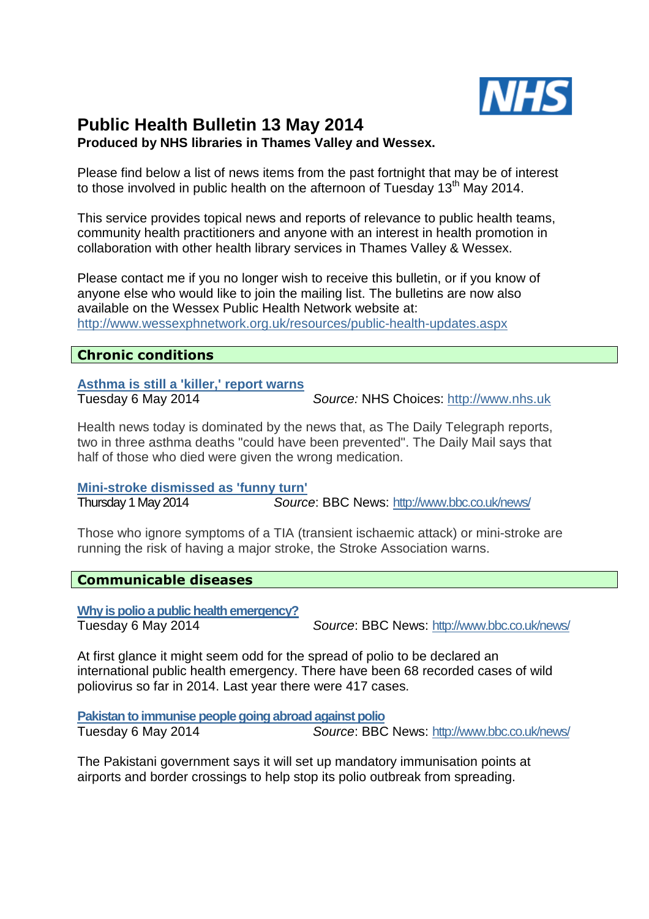

# **Public Health Bulletin 13 May 2014 Produced by NHS libraries in Thames Valley and Wessex.**

Please find below a list of news items from the past fortnight that may be of interest to those involved in public health on the afternoon of Tuesday  $13<sup>th</sup>$  May 2014.

This service provides topical news and reports of relevance to public health teams, community health practitioners and anyone with an interest in health promotion in collaboration with other health library services in Thames Valley & Wessex.

Please contact me if you no longer wish to receive this bulletin, or if you know of anyone else who would like to join the mailing list. The bulletins are now also available on the Wessex Public Health Network website at: http://www.wessexphnetwork.org.uk/resources/public-health-updates.aspx

# **Chronic conditions**

**Asthma is still a 'killer,' report warns** 

Tuesday 6 May 2014 Source: NHS Choices: http://www.nhs.uk

Health news today is dominated by the news that, as The Daily Telegraph reports, two in three asthma deaths "could have been prevented". The Daily Mail says that half of those who died were given the wrong medication.

**Mini-stroke dismissed as 'funny turn'**

Thursday 1 May 2014 Source: BBC News: http://www.bbc.co.uk/news/

Those who ignore symptoms of a TIA (transient ischaemic attack) or mini-stroke are running the risk of having a major stroke, the Stroke Association warns.

# **Communicable diseases**

**Why is polio a public health emergency?**

Tuesday 6 May 2014 Source: BBC News: http://www.bbc.co.uk/news/

At first glance it might seem odd for the spread of polio to be declared an international public health emergency. There have been 68 recorded cases of wild poliovirus so far in 2014. Last year there were 417 cases.

**Pakistan to immunise people going abroad against polio** Tuesday 6 May 2014 Source: BBC News: http://www.bbc.co.uk/news/

The Pakistani government says it will set up mandatory immunisation points at airports and border crossings to help stop its polio outbreak from spreading.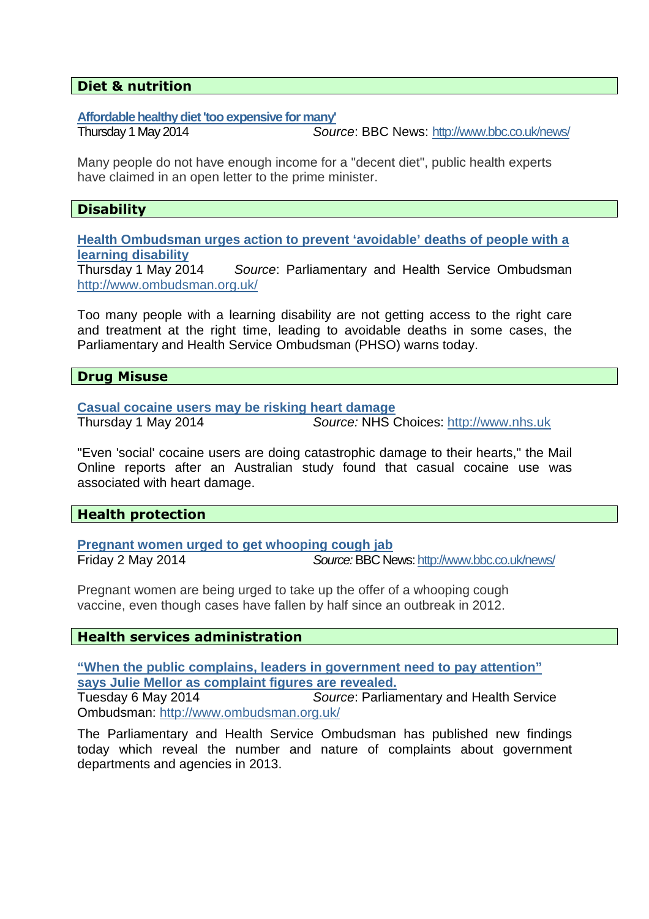#### **Diet & nutrition**

#### **Affordable healthy diet 'too expensive for many'**

Thursday 1 May 2014 Source: BBC News: http://www.bbc.co.uk/news/

Many people do not have enough income for a "decent diet", public health experts have claimed in an open letter to the prime minister.

# **Disability**

**Health Ombudsman urges action to prevent 'avoidable' deaths of people with a learning disability**

Source: Parliamentary and Health Service Ombudsman http://www.ombudsman.org.uk/

Too many people with a learning disability are not getting access to the right care and treatment at the right time, leading to avoidable deaths in some cases, the Parliamentary and Health Service Ombudsman (PHSO) warns today.

**Drug Misuse** 

**Casual cocaine users may be risking heart damage**

Thursday 1 May 2014 Source: NHS Choices: http://www.nhs.uk

"Even 'social' cocaine users are doing catastrophic damage to their hearts," the Mail Online reports after an Australian study found that casual cocaine use was associated with heart damage.

# **Health protection**

**Pregnant women urged to get whooping cough jab** Friday 2 May 2014 Source: BBC News: http://www.bbc.co.uk/news/

Pregnant women are being urged to take up the offer of a whooping cough vaccine, even though cases have fallen by half since an outbreak in 2012.

# **Health services administration**

**"When the public complains, leaders in government need to pay attention" says Julie Mellor as complaint figures are revealed.**

Tuesday 6 May 2014Source: Parliamentary and Health Service Ombudsman: http://www.ombudsman.org.uk/

The Parliamentary and Health Service Ombudsman has published new findings today which reveal the number and nature of complaints about government departments and agencies in 2013.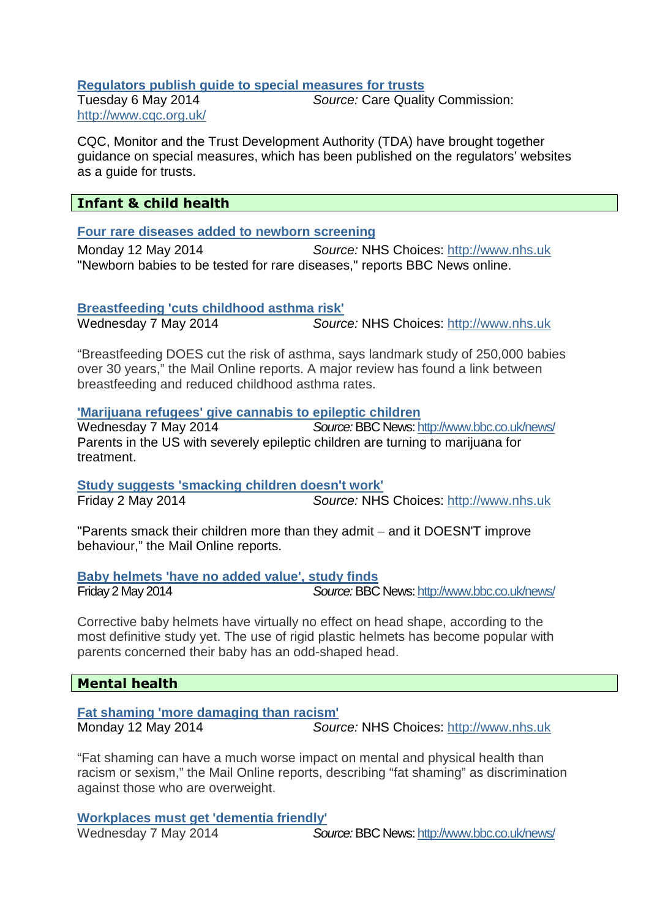#### **Regulators publish guide to special measures for trusts**

Tuesday 6 May 2014Source: Care Quality Commission: http://www.cqc.org.uk/

CQC, Monitor and the Trust Development Authority (TDA) have brought together guidance on special measures, which has been published on the regulators' websites as a guide for trusts.

# **Infant & child health**

#### **Four rare diseases added to newborn screening**

Monday 12 May 2014 Source: NHS Choices: http://www.nhs.uk "Newborn babies to be tested for rare diseases," reports BBC News online.

#### **Breastfeeding 'cuts childhood asthma risk'**

Wednesday 7 May 2014 **Source: NHS Choices: http://www.nhs.uk** 

"Breastfeeding DOES cut the risk of asthma, says landmark study of 250,000 babies over 30 years," the Mail Online reports. A major review has found a link between breastfeeding and reduced childhood asthma rates.

# **'Marijuana refugees' give cannabis to epileptic children**

Source: BBC News: http://www.bbc.co.uk/news/ Parents in the US with severely epileptic children are turning to marijuana for treatment.

**Study suggests 'smacking children doesn't work'** Friday 2 May 2014 Source: NHS Choices: http://www.nhs.uk

"Parents smack their children more than they admit – and it DOESN'T improve behaviour," the Mail Online reports.

**Baby helmets 'have no added value', study finds** Friday 2 May 2014 Source: BBC News: http://www.bbc.co.uk/news/

Corrective baby helmets have virtually no effect on head shape, according to the most definitive study yet. The use of rigid plastic helmets has become popular with parents concerned their baby has an odd-shaped head.

#### **Mental health**

**Fat shaming 'more damaging than racism'**  Monday 12 May 2014 Source: NHS Choices: http://www.nhs.uk

"Fat shaming can have a much worse impact on mental and physical health than racism or sexism," the Mail Online reports, describing "fat shaming" as discrimination against those who are overweight.

#### **Workplaces must get 'dementia friendly'**

Wednesday 7 May 2014 Source: BBC News: http://www.bbc.co.uk/news/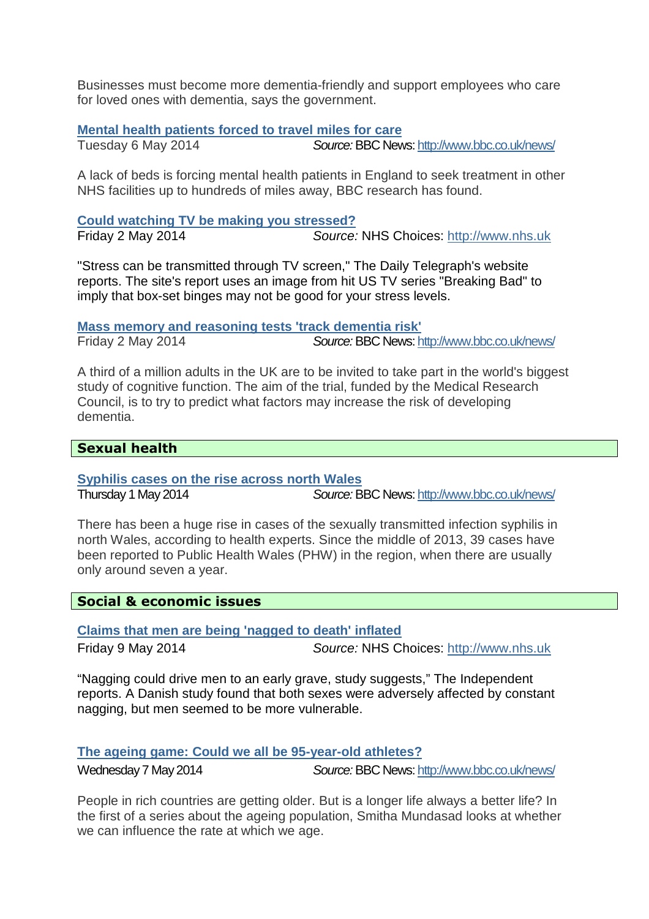Businesses must become more dementia-friendly and support employees who care for loved ones with dementia, says the government.

#### **Mental health patients forced to travel miles for care**

Tuesday 6 May 2014 Source: BBC News: http://www.bbc.co.uk/news/

A lack of beds is forcing mental health patients in England to seek treatment in other NHS facilities up to hundreds of miles away, BBC research has found.

#### **Could watching TV be making you stressed?**

Friday 2 May 2014 Source: NHS Choices: http://www.nhs.uk

"Stress can be transmitted through TV screen," The Daily Telegraph's website reports. The site's report uses an image from hit US TV series "Breaking Bad" to imply that box-set binges may not be good for your stress levels.

**Mass memory and reasoning tests 'track dementia risk'**

Friday 2 May 2014 Source: BBC News: http://www.bbc.co.uk/news/

A third of a million adults in the UK are to be invited to take part in the world's biggest study of cognitive function. The aim of the trial, funded by the Medical Research Council, is to try to predict what factors may increase the risk of developing dementia.

# **Sexual health**

**Syphilis cases on the rise across north Wales**

Thursday 1 May 2014 Source: BBC News: http://www.bbc.co.uk/news/

There has been a huge rise in cases of the sexually transmitted infection syphilis in north Wales, according to health experts. Since the middle of 2013, 39 cases have been reported to Public Health Wales (PHW) in the region, when there are usually only around seven a year.

# **Social & economic issues**

**Claims that men are being 'nagged to death' inflated**

Friday 9 May 2014 Source: NHS Choices: http://www.nhs.uk

"Nagging could drive men to an early grave, study suggests," The Independent reports. A Danish study found that both sexes were adversely affected by constant nagging, but men seemed to be more vulnerable.

**The ageing game: Could we all be 95-year-old athletes?**

Wednesday 7 May 2014 Source: BBC News: http://www.bbc.co.uk/news/

People in rich countries are getting older. But is a longer life always a better life? In the first of a series about the ageing population, Smitha Mundasad looks at whether we can influence the rate at which we age.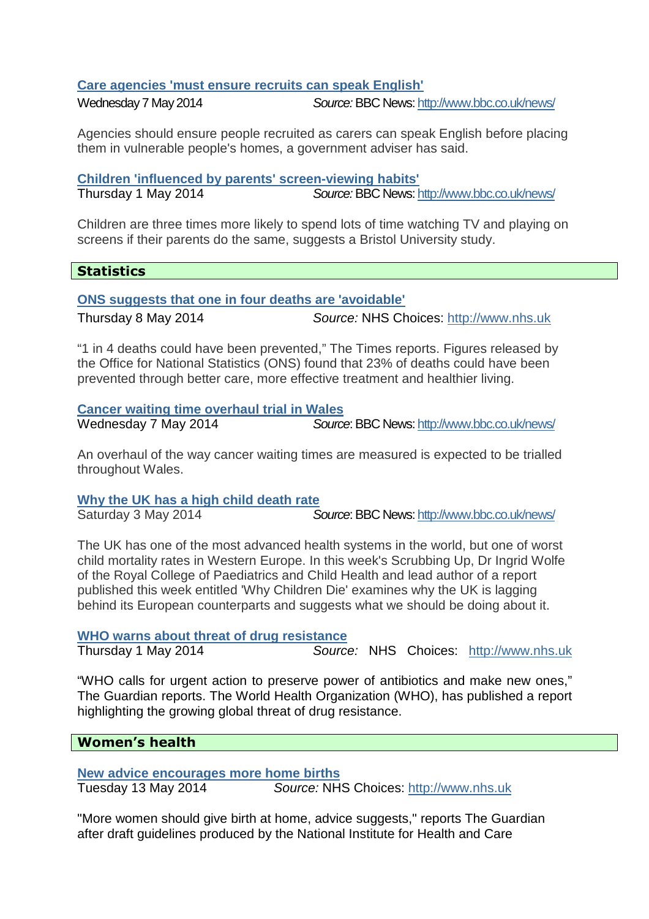# **Care agencies 'must ensure recruits can speak English'**

Wednesday 7 May 2014 Source: BBC News: http://www.bbc.co.uk/news/

Agencies should ensure people recruited as carers can speak English before placing them in vulnerable people's homes, a government adviser has said.

**Children 'influenced by parents' screen-viewing habits'**

Thursday 1 May 2014 Source: BBC News: http://www.bbc.co.uk/news/

Children are three times more likely to spend lots of time watching TV and playing on screens if their parents do the same, suggests a Bristol University study.

# **Statistics**

# **ONS suggests that one in four deaths are 'avoidable'**

Thursday 8 May 2014 Source: NHS Choices: http://www.nhs.uk

"1 in 4 deaths could have been prevented," The Times reports. Figures released by the Office for National Statistics (ONS) found that 23% of deaths could have been prevented through better care, more effective treatment and healthier living.

#### **Cancer waiting time overhaul trial in Wales**

Wednesday 7 May 2014 **Source: BBC News: http://www.bbc.co.uk/news/** 

An overhaul of the way cancer waiting times are measured is expected to be trialled throughout Wales.

# **Why the UK has a high child death rate**

Saturday 3 May 2014 Source: BBC News: http://www.bbc.co.uk/news/

The UK has one of the most advanced health systems in the world, but one of worst child mortality rates in Western Europe. In this week's Scrubbing Up, Dr Ingrid Wolfe of the Royal College of Paediatrics and Child Health and lead author of a report published this week entitled 'Why Children Die' examines why the UK is lagging behind its European counterparts and suggests what we should be doing about it.

# **WHO warns about threat of drug resistance**

Thursday 1 May 2014 Source: NHS Choices: http://www.nhs.uk

"WHO calls for urgent action to preserve power of antibiotics and make new ones," The Guardian reports. The World Health Organization (WHO), has published a report highlighting the growing global threat of drug resistance.

# **Women's health**

**New advice encourages more home births**

Tuesday 13 May 2014 Source: NHS Choices: http://www.nhs.uk

"More women should give birth at home, advice suggests," reports The Guardian after draft guidelines produced by the National Institute for Health and Care